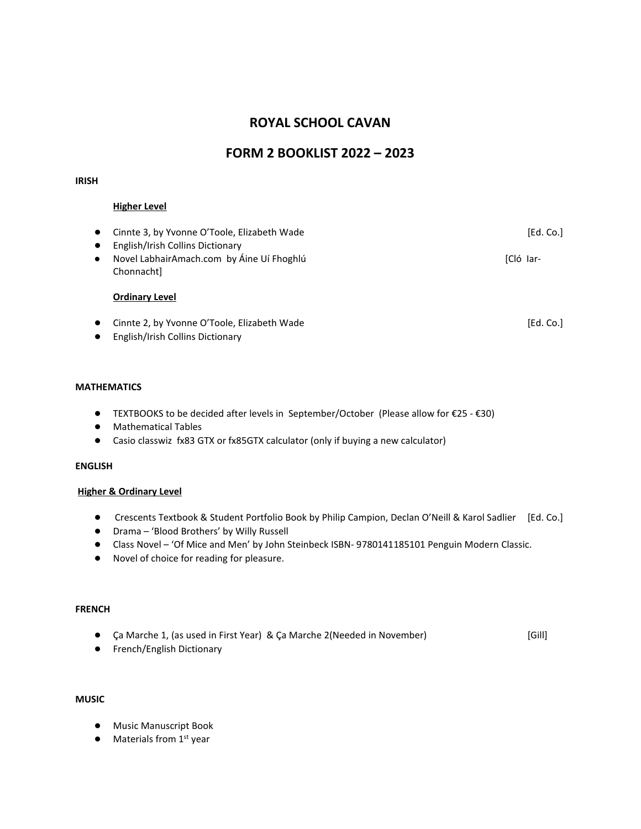# **ROYAL SCHOOL CAVAN**

## **FORM 2 BOOKLIST 2022 – 2023**

#### **IRISH**

### **Higher Level**

| Cinnte 3, by Yvonne O'Toole, Elizabeth Wade                                                              | [Ed. Co.] |
|----------------------------------------------------------------------------------------------------------|-----------|
| English/Irish Collins Dictionary<br>Novel LabhairAmach.com by Áine Uí Fhoghlú<br>$\bullet$<br>Chonnacht] | [Cló Iar- |
| <b>Ordinary Level</b>                                                                                    |           |
| Cinnte 2, by Yvonne O'Toole, Elizabeth Wade                                                              | [Ed. Co.] |

● English/Irish Collins Dictionary

#### **MATHEMATICS**

- TEXTBOOKS to be decided after levels in September/October (Please allow for €25 €30)
- Mathematical Tables
- Casio classwiz fx83 GTX or fx85GTX calculator (only if buying a new calculator)

## **ENGLISH**

#### **Higher & Ordinary Level**

- Crescents Textbook & Student Portfolio Book by Philip Campion, Declan O'Neill & Karol Sadlier [Ed. Co.]
- Drama 'Blood Brothers' by Willy Russell
- Class Novel 'Of Mice and Men' by John Steinbeck ISBN- 9780141185101 Penguin Modern Classic.
- Novel of choice for reading for pleasure.

#### **FRENCH**

- Ca Marche 1, (as used in First Year) & Ca Marche 2(Needed in November) [Gill]
- French/English Dictionary

#### **MUSIC**

- Music Manuscript Book
- $\bullet$  Materials from  $1<sup>st</sup>$  year